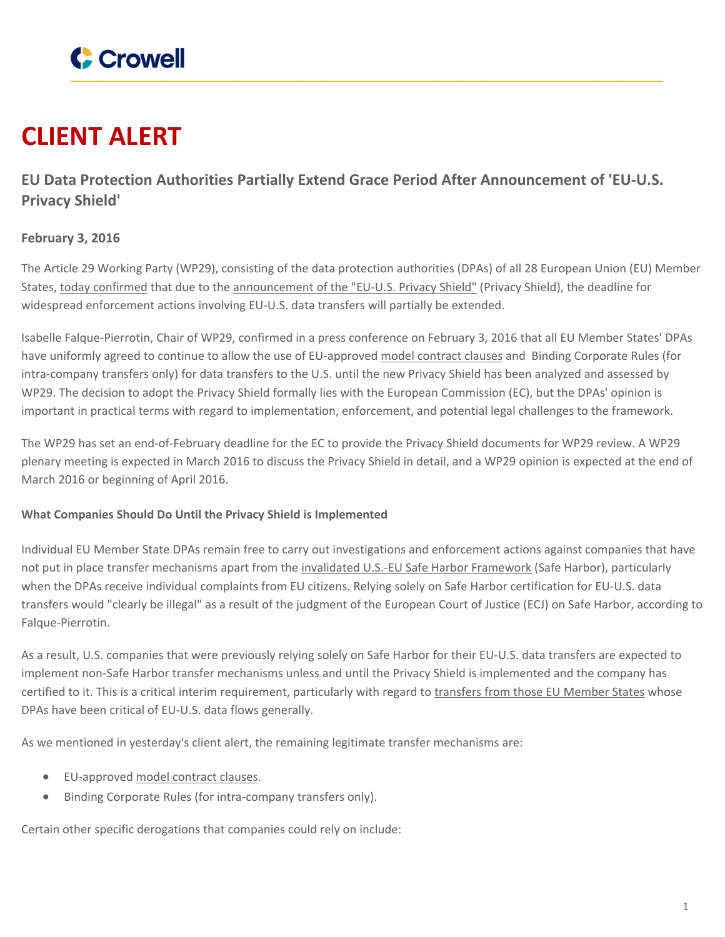

# **CLIENT ALERT**

**EU Data Protection Authorities Partially Extend Grace Period After Announcement of 'EU-U.S. Privacy Shield'**

## **February 3, 2016**

The Article 29 Working Party (WP29), consisting of the data protection authorities (DPAs) of all 28 European Union (EU) Member States, today [confirmed](http://ec.europa.eu/justice/data-protection/article-29/press-material/press-release/art29_press_material/2016/20160203_statement_consequences_schrems_judgement_en.pdf) that due to the [announcement](https://www.crowell.com/NewsEvents/All/EU-and-US-Reach-Agreement-on-Safe-Harbor-Replacement-EU-US-Privacy-Shield) of the "EU-U.S. Privacy Shield" (Privacy Shield), the deadline for widespread enforcement actions involving EU-U.S. data transfers will partially be extended.

Isabelle Falque-Pierrotin, Chair of WP29, confirmed in a press conference on February 3, 2016 that all EU Member States' DPAs have uniformly agreed to continue to allow the use of EU-approved model [contract](http://ec.europa.eu/justice/data-protection/international-transfers/transfer/index_en.htm) clauses and Binding Corporate Rules (for intra-company transfers only) for data transfers to the U.S. until the new Privacy Shield has been analyzed and assessed by WP29. The decision to adopt the Privacy Shield formally lies with the European Commission (EC), but the DPAs' opinion is important in practical terms with regard to implementation, enforcement, and potential legal challenges to the framework.

The WP29 has set an end-of-February deadline for the EC to provide the Privacy Shield documents for WP29 review. A WP29 plenary meeting is expected in March 2016 to discuss the Privacy Shield in detail, and a WP29 opinion is expected at the end of March 2016 or beginning of April 2016.

### **What Companies Should Do Until the Privacy Shield is Implemented**

Individual EU Member State DPAs remain free to carry out investigations and enforcement actions against companies that have not put in place transfer mechanisms apart from the invalidated U.S.-EU Safe Harbor [Framework](https://www.crowell.com/NewsEvents/All/US-EU-Safe-Harbor-Invalidated-What-Next) (Safe Harbor), particularly when the DPAs receive individual complaints from EU citizens. Relying solely on Safe Harbor certification for EU-U.S. data transfers would "clearly be illegal" as a result of the judgment of the European Court of Justice (ECJ) on Safe Harbor, according to Falque-Pierrotin.

As a result, U.S. companies that were previously relying solely on Safe Harbor for their EU-U.S. data transfers are expected to implement non-Safe Harbor transfer mechanisms unless and until the Privacy Shield is implemented and the company has certified to it. This is a critical interim requirement, particularly with regard to [transfers](https://www.crowell.com/NewsEvents/AlertsNewsletters/all/Safe-Harbor-Updates-20-Agreement-In-Principle-While-Germany-Nixes-Alternatives-and-Others-Jump-Aboard) from those EU Member States whose DPAs have been critical of EU-U.S. data flows generally.

As we mentioned in yesterday's client alert, the remaining legitimate transfer mechanisms are:

- EU-approved model [contract](http://ec.europa.eu/justice/data-protection/international-transfers/transfer/index_en.htm) clauses.
- Binding Corporate Rules (for intra-company transfers only).

Certain other specific derogations that companies could rely on include: